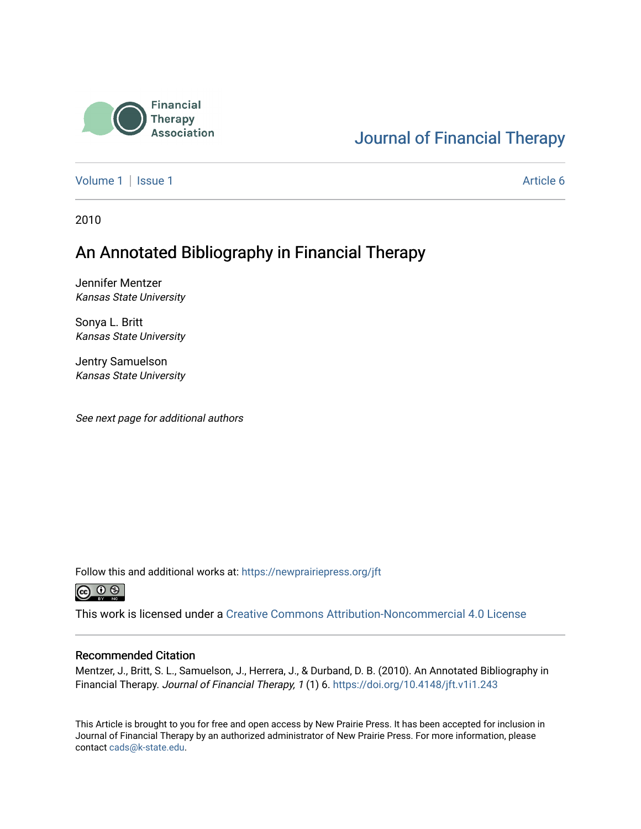

# [Journal of Financial Therapy](https://newprairiepress.org/jft)

[Volume 1](https://newprairiepress.org/jft/vol1) | [Issue 1](https://newprairiepress.org/jft/vol1/iss1) Article 6

2010

# An Annotated Bibliography in Financial Therapy

Jennifer Mentzer Kansas State University

Sonya L. Britt Kansas State University

Jentry Samuelson Kansas State University

See next page for additional authors

Follow this and additional works at: [https://newprairiepress.org/jft](https://newprairiepress.org/jft?utm_source=newprairiepress.org%2Fjft%2Fvol1%2Fiss1%2F6&utm_medium=PDF&utm_campaign=PDFCoverPages)



This work is licensed under a [Creative Commons Attribution-Noncommercial 4.0 License](https://creativecommons.org/licenses/by-nc/4.0/)

#### Recommended Citation

Mentzer, J., Britt, S. L., Samuelson, J., Herrera, J., & Durband, D. B. (2010). An Annotated Bibliography in Financial Therapy. Journal of Financial Therapy, 1 (1) 6.<https://doi.org/10.4148/jft.v1i1.243>

This Article is brought to you for free and open access by New Prairie Press. It has been accepted for inclusion in Journal of Financial Therapy by an authorized administrator of New Prairie Press. For more information, please contact [cads@k-state.edu](mailto:cads@k-state.edu).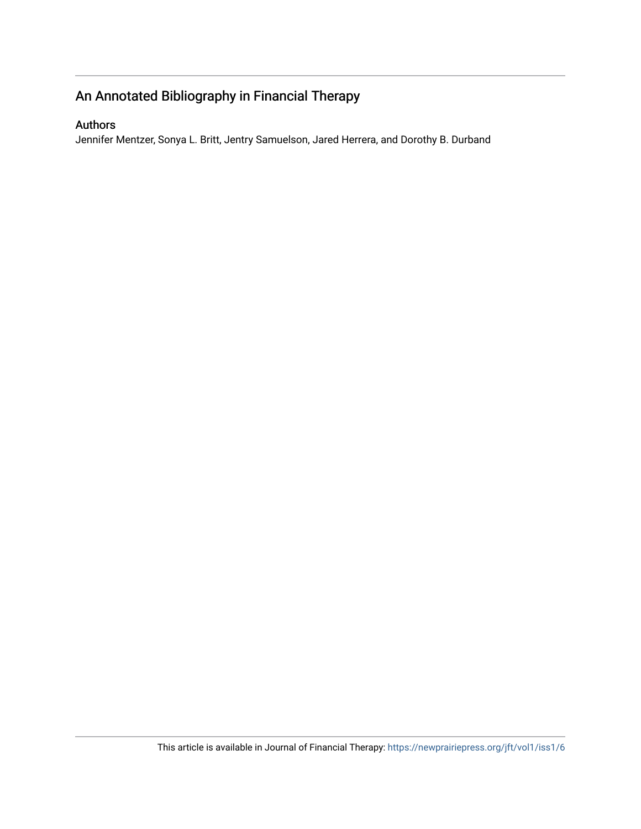# An Annotated Bibliography in Financial Therapy

# Authors

Jennifer Mentzer, Sonya L. Britt, Jentry Samuelson, Jared Herrera, and Dorothy B. Durband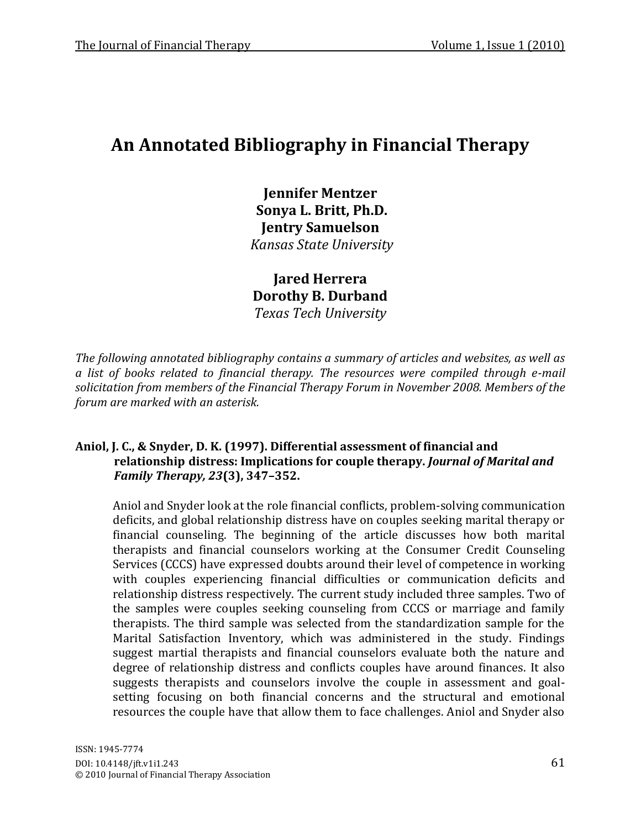# An Annotated Bibliography in Financial Therapy

**Jennifer Mentzer Sonya L. Britt, Ph.D. Jentry#Samuelson** *Kansas!State!University*

**Jared Herrera Dorothy B. Durband** *Texas!Tech!University*

The following annotated bibliography contains a summary of articles and websites, as well as *a list of books related to financial therapy. The resources were compiled through e-mail* solicitation from members of the Financial Therapy Forum in November 2008. Members of the *forum are marked with an asterisk.* 

# Aniol, J. C., & Snyder, D. K. (1997). Differential assessment of financial and  $\mathbf{r}$  relationship distress: Implications for couple therapy. *Journal of Marital and (Family Therapy, 23*(3), 347-352.

Aniol and Snyder look at the role financial conflicts, problem-solving communication deficits, and global relationship distress have on couples seeking marital therapy or financial counseling. The beginning of the article discusses how both marital therapists and financial counselors working at the Consumer Credit Counseling Services (CCCS) have expressed doubts around their level of competence in working with couples experiencing financial difficulties or communication deficits and relationship distress respectively. The current study included three samples. Two of the samples were couples seeking counseling from CCCS or marriage and family therapists. The third sample was selected from the standardization sample for the Marital Satisfaction Inventory, which was administered in the study. Findings suggest martial therapists and financial counselors evaluate both the nature and degree of relationship distress and conflicts couples have around finances. It also suggests therapists and counselors involve the couple in assessment and goalsetting focusing on both financial concerns and the structural and emotional resources the couple have that allow them to face challenges. Aniol and Snyder also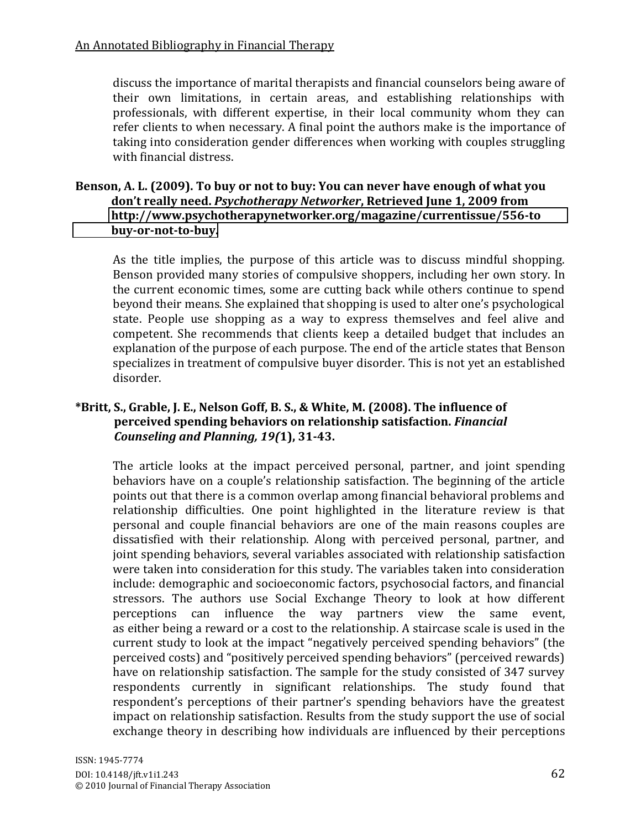discuss the importance of marital therapists and financial counselors being aware of their own limitations, in certain areas, and establishing relationships with professionals, with different expertise, in their local community whom they can refer clients to when necessary. A final point the authors make is the importance of taking into consideration gender differences when working with couples struggling with financial distress.

## Benson, A. L. (2009). To buy or not to buy: You can never have enough of what you  **don't really need. Psychotherapy Networker, Retrieved June 1, 2009 from ############[#http://www.psychotherapynetworker.org/magazine/currentissue/556Yto](http://www.psychotherapynetworker.org/magazine/currentissue/556-to%20%20%20%20%20%20%20%20%20%20%20%20%20buy-or-not-to-buy)** buy-or-not-to-buy.

As the title implies, the purpose of this article was to discuss mindful shopping. Benson provided many stories of compulsive shoppers, including her own story. In the current economic times, some are cutting back while others continue to spend beyond their means. She explained that shopping is used to alter one's psychological state. People use shopping as a way to express themselves and feel alive and competent. She recommends that clients keep a detailed budget that includes an explanation of the purpose of each purpose. The end of the article states that Benson specializes in treatment of compulsive buyer disorder. This is not yet an established disorder.

# \*Britt, S., Grable, J. E., Nelson Goff, B. S., & White, M. (2008). The influence of  $\mu$  perceived spending behaviors on relationship satisfaction. *Financial (Counseling and Planning, 19(1), 31-43.*

The article looks at the impact perceived personal, partner, and joint spending behaviors have on a couple's relationship satisfaction. The beginning of the article points out that there is a common overlap among financial behavioral problems and relationship difficulties. One point highlighted in the literature review is that personal and couple financial behaviors are one of the main reasons couples are dissatisfied with their relationship. Along with perceived personal, partner, and joint spending behaviors, several variables associated with relationship satisfaction were taken into consideration for this study. The variables taken into consideration include: demographic and socioeconomic factors, psychosocial factors, and financial stressors. The authors use Social Exchange Theory to look at how different perceptions can influence the way partners view the same event, as either being a reward or a cost to the relationship. A staircase scale is used in the current study to look at the impact "negatively perceived spending behaviors" (the perceived costs) and "positively perceived spending behaviors" (perceived rewards) have on relationship satisfaction. The sample for the study consisted of 347 survey respondents currently in significant relationships. The study found that respondent's perceptions of their partner's spending behaviors have the greatest impact on relationship satisfaction. Results from the study support the use of social exchange theory in describing how individuals are influenced by their perceptions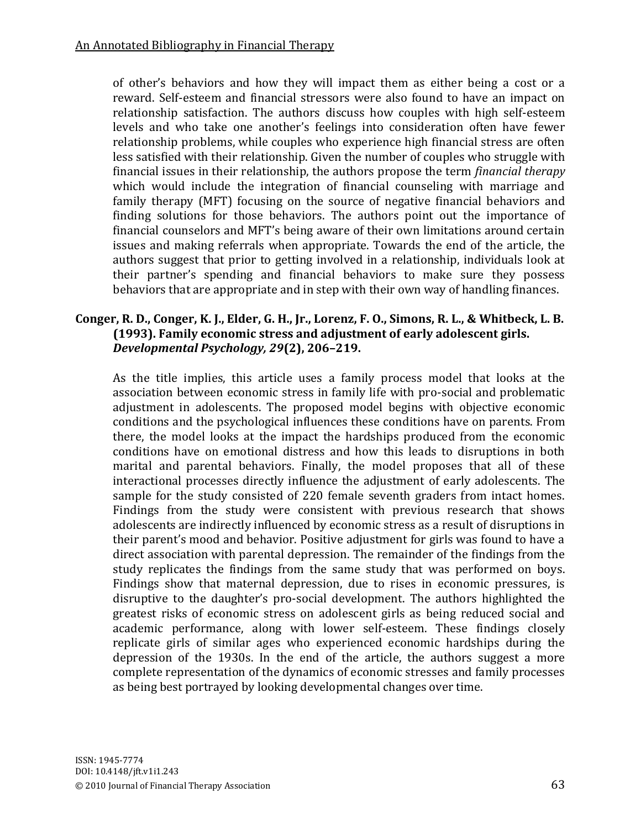of other's behaviors and how they will impact them as either being a cost or a reward. Self-esteem and financial stressors were also found to have an impact on relationship satisfaction. The authors discuss how couples with high self-esteem levels and who take one another's feelings into consideration often have fewer relationship problems, while couples who experience high financial stress are often less satisfied with their relationship. Given the number of couples who struggle with financial issues in their relationship, the authors propose the term *financial therapy* which would include the integration of financial counseling with marriage and family therapy (MFT) focusing on the source of negative financial behaviors and finding solutions for those behaviors. The authors point out the importance of financial counselors and MFT's being aware of their own limitations around certain issues and making referrals when appropriate. Towards the end of the article, the authors suggest that prior to getting involved in a relationship, individuals look at their partner's spending and financial behaviors to make sure they possess behaviors that are appropriate and in step with their own way of handling finances.

## **Conger,#R.#D., Conger,#K.#J.,#Elder,#G.#H.,#Jr.,#Lorenz,#F.#O.,#Simons,#R.#L., &#Whitbeck,#L.#B. (1993). Family economic stress and adjustment of early adolescent girls.** *Developmental Psychology, 29*(2), 206-219.

As the title implies, this article uses a family process model that looks at the association between economic stress in family life with pro-social and problematic adjustment in adolescents. The proposed model begins with objective economic conditions and the psychological influences these conditions have on parents. From there, the model looks at the impact the hardships produced from the economic conditions have on emotional distress and how this leads to disruptions in both marital and parental behaviors. Finally, the model proposes that all of these interactional processes directly influence the adjustment of early adolescents. The sample for the study consisted of 220 female seventh graders from intact homes. Findings from the study were consistent with previous research that shows adolescents are indirectly influenced by economic stress as a result of disruptions in their parent's mood and behavior. Positive adjustment for girls was found to have a direct association with parental depression. The remainder of the findings from the study replicates the findings from the same study that was performed on boys. Findings show that maternal depression, due to rises in economic pressures, is disruptive to the daughter's pro-social development. The authors highlighted the greatest risks of economic stress on adolescent girls as being reduced social and academic performance, along with lower self-esteem. These findings closely replicate girls of similar ages who experienced economic hardships during the depression of the 1930s. In the end of the article, the authors suggest a more complete representation of the dynamics of economic stresses and family processes as being best portrayed by looking developmental changes over time.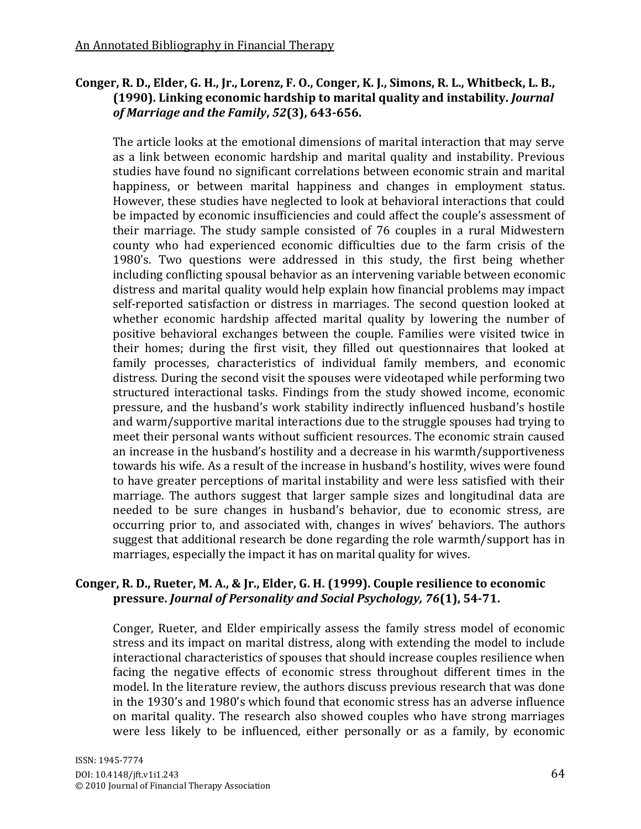# Conger, R. D., Elder, G. H., Jr., Lorenz, F. O., Conger, K. J., Simons, R. L., Whitbeck, L. B., **(1990).#Linking#economic#hardship#to#marital#quality#and#instability.#***Journal( of Marriage and the Family*,  $52(3)$ , 643-656.

The article looks at the emotional dimensions of marital interaction that may serve as a link between economic hardship and marital quality and instability. Previous studies have found no significant correlations between economic strain and marital happiness, or between marital happiness and changes in employment status. However, these studies have neglected to look at behavioral interactions that could be impacted by economic insufficiencies and could affect the couple's assessment of their marriage. The study sample consisted of 76 couples in a rural Midwestern county who had experienced economic difficulties due to the farm crisis of the 1980's. Two questions were addressed in this study, the first being whether including conflicting spousal behavior as an intervening variable between economic distress and marital quality would help explain how financial problems may impact self-reported satisfaction or distress in marriages. The second question looked at whether economic hardship affected marital quality by lowering the number of positive behavioral exchanges between the couple. Families were visited twice in their homes; during the first visit, they filled out questionnaires that looked at family processes, characteristics of individual family members, and economic distress. During the second visit the spouses were videotaped while performing two structured interactional tasks. Findings from the study showed income, economic pressure, and the husband's work stability indirectly influenced husband's hostile and warm/supportive marital interactions due to the struggle spouses had trying to meet their personal wants without sufficient resources. The economic strain caused an increase in the husband's hostility and a decrease in his warmth/supportiveness towards his wife. As a result of the increase in husband's hostility, wives were found to have greater perceptions of marital instability and were less satisfied with their marriage. The authors suggest that larger sample sizes and longitudinal data are needed to be sure changes in husband's behavior, due to economic stress, are occurring prior to, and associated with, changes in wives' behaviors. The authors suggest that additional research be done regarding the role warmth/support has in marriages, especially the impact it has on marital quality for wives.

## **Conger, R. D., Rueter, M. A., & Jr., Elder, G. H. (1999). Couple resilience to economic** pressure. *Journal of Personality and Social Psychology, 76*(1), 54-71.

Conger, Rueter, and Elder empirically assess the family stress model of economic stress and its impact on marital distress, along with extending the model to include interactional characteristics of spouses that should increase couples resilience when facing the negative effects of economic stress throughout different times in the model. In the literature review, the authors discuss previous research that was done in the 1930's and 1980's which found that economic stress has an adverse influence on marital quality. The research also showed couples who have strong marriages were less likely to be influenced, either personally or as a family, by economic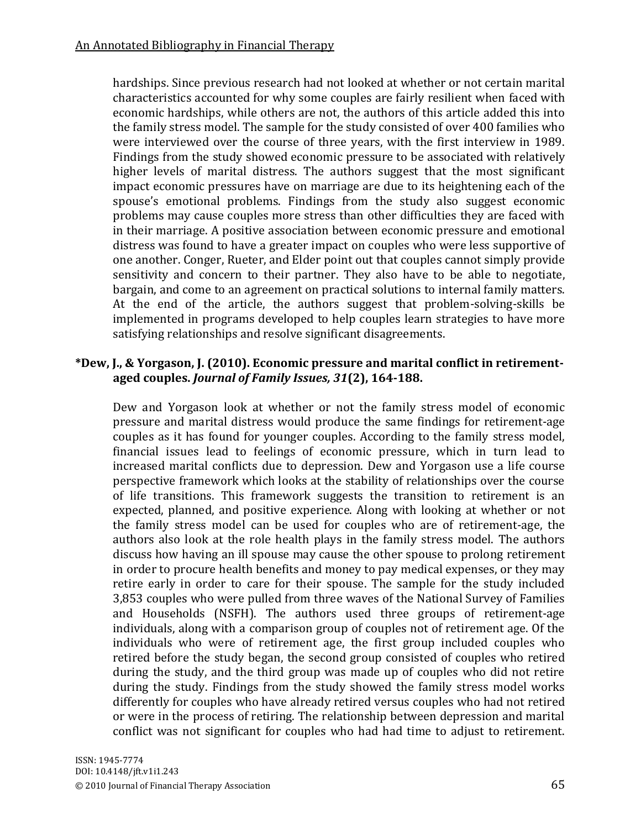hardships. Since previous research had not looked at whether or not certain marital characteristics accounted for why some couples are fairly resilient when faced with economic hardships, while others are not, the authors of this article added this into the family stress model. The sample for the study consisted of over 400 families who were interviewed over the course of three years, with the first interview in 1989. Findings from the study showed economic pressure to be associated with relatively higher levels of marital distress. The authors suggest that the most significant impact economic pressures have on marriage are due to its heightening each of the spouse's emotional problems. Findings from the study also suggest economic problems may cause couples more stress than other difficulties they are faced with in their marriage. A positive association between economic pressure and emotional distress was found to have a greater impact on couples who were less supportive of one another. Conger, Rueter, and Elder point out that couples cannot simply provide sensitivity and concern to their partner. They also have to be able to negotiate, bargain, and come to an agreement on practical solutions to internal family matters. At the end of the article, the authors suggest that problem-solving-skills be implemented in programs developed to help couples learn strategies to have more satisfying relationships and resolve significant disagreements.

#### \*Dew, J., & Yorgason, J. (2010). Economic pressure and marital conflict in retirementaged couples. *Journal of Family Issues, 31*(2), 164-188.

Dew and Yorgason look at whether or not the family stress model of economic pressure and marital distress would produce the same findings for retirement-age couples as it has found for younger couples. According to the family stress model, financial issues lead to feelings of economic pressure, which in turn lead to increased marital conflicts due to depression. Dew and Yorgason use a life course perspective framework which looks at the stability of relationships over the course of life transitions. This framework suggests the transition to retirement is an expected, planned, and positive experience. Along with looking at whether or not the family stress model can be used for couples who are of retirement-age, the authors also look at the role health plays in the family stress model. The authors discuss how having an ill spouse may cause the other spouse to prolong retirement in order to procure health benefits and money to pay medical expenses, or they may retire early in order to care for their spouse. The sample for the study included 3,853 couples who were pulled from three waves of the National Survey of Families and Households (NSFH). The authors used three groups of retirement-age individuals, along with a comparison group of couples not of retirement age. Of the individuals who were of retirement age, the first group included couples who retired before the study began, the second group consisted of couples who retired during the study, and the third group was made up of couples who did not retire during the study. Findings from the study showed the family stress model works differently for couples who have already retired versus couples who had not retired or were in the process of retiring. The relationship between depression and marital conflict was not significant for couples who had had time to adjust to retirement.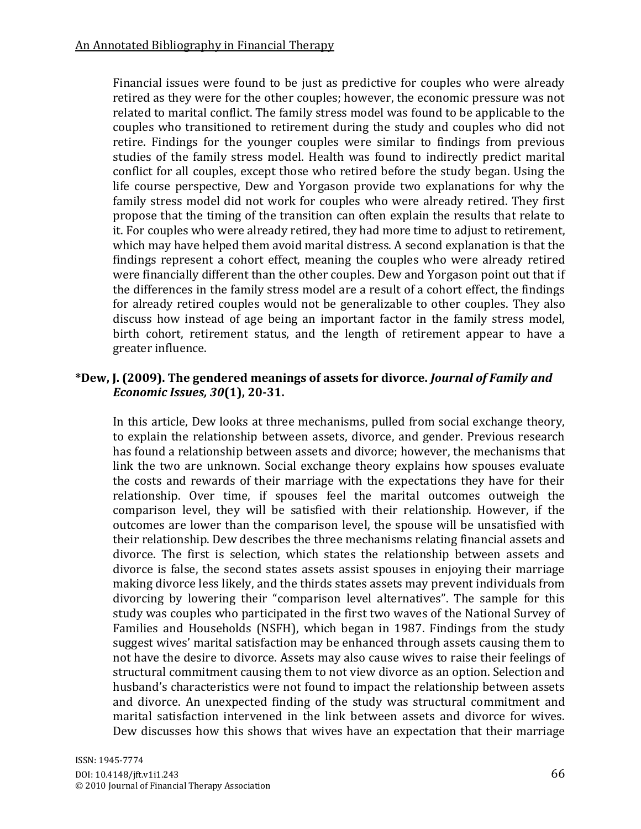Financial issues were found to be just as predictive for couples who were already retired as they were for the other couples; however, the economic pressure was not related to marital conflict. The family stress model was found to be applicable to the couples who transitioned to retirement during the study and couples who did not retire. Findings for the younger couples were similar to findings from previous studies of the family stress model. Health was found to indirectly predict marital conflict for all couples, except those who retired before the study began. Using the life course perspective, Dew and Yorgason provide two explanations for why the family stress model did not work for couples who were already retired. They first propose that the timing of the transition can often explain the results that relate to it. For couples who were already retired, they had more time to adjust to retirement, which may have helped them avoid marital distress. A second explanation is that the findings represent a cohort effect, meaning the couples who were already retired were financially different than the other couples. Dew and Yorgason point out that if the differences in the family stress model are a result of a cohort effect, the findings for already retired couples would not be generalizable to other couples. They also discuss how instead of age being an important factor in the family stress model, birth cohort, retirement status, and the length of retirement appear to have a greater influence.

#### \*Dew, J. (2009). The gendered meanings of assets for divorce. *Journal of Family and Economic Issues, 30*(1), 20-31.

In this article, Dew looks at three mechanisms, pulled from social exchange theory, to explain the relationship between assets, divorce, and gender. Previous research has found a relationship between assets and divorce; however, the mechanisms that link the two are unknown. Social exchange theory explains how spouses evaluate the costs and rewards of their marriage with the expectations they have for their relationship. Over time, if spouses feel the marital outcomes outweigh the comparison level, they will be satisfied with their relationship. However, if the outcomes are lower than the comparison level, the spouse will be unsatisfied with their relationship. Dew describes the three mechanisms relating financial assets and divorce. The first is selection, which states the relationship between assets and divorce is false, the second states assets assist spouses in enjoying their marriage making divorce less likely, and the thirds states assets may prevent individuals from divorcing by lowering their "comparison level alternatives". The sample for this study was couples who participated in the first two waves of the National Survey of Families and Households (NSFH), which began in 1987. Findings from the study suggest wives' marital satisfaction may be enhanced through assets causing them to not have the desire to divorce. Assets may also cause wives to raise their feelings of structural commitment causing them to not view divorce as an option. Selection and husband's characteristics were not found to impact the relationship between assets and divorce. An unexpected finding of the study was structural commitment and marital satisfaction intervened in the link between assets and divorce for wives. Dew discusses how this shows that wives have an expectation that their marriage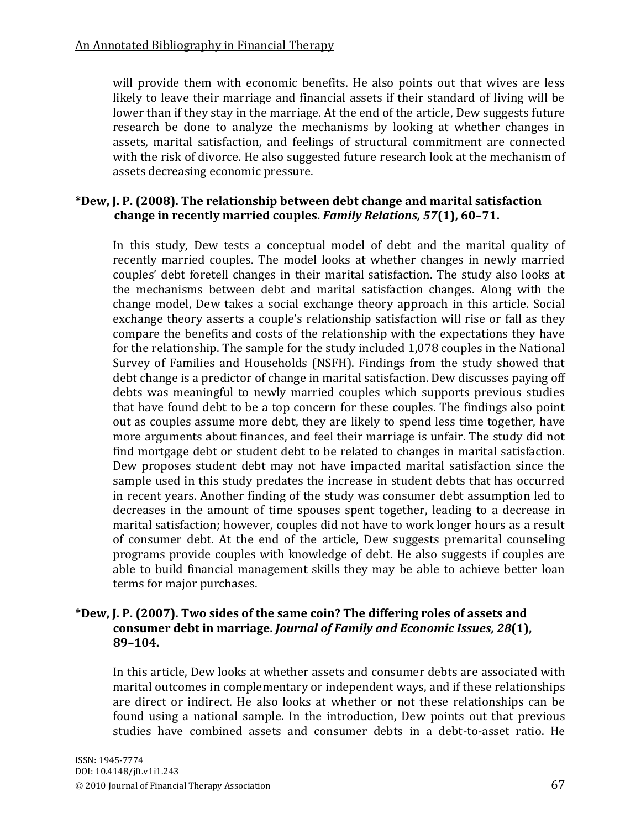will provide them with economic benefits. He also points out that wives are less likely to leave their marriage and financial assets if their standard of living will be lower than if they stay in the marriage. At the end of the article, Dew suggests future research be done to analyze the mechanisms by looking at whether changes in assets, marital satisfaction, and feelings of structural commitment are connected with the risk of divorce. He also suggested future research look at the mechanism of assets decreasing economic pressure.

#### \*Dew, J. P. (2008). The relationship between debt change and marital satisfaction  $k$  **change in recently married couples. Family Relations, 57(1), 60–71.**

In this study, Dew tests a conceptual model of debt and the marital quality of recently married couples. The model looks at whether changes in newly married couples' debt foretell changes in their marital satisfaction. The study also looks at the mechanisms between debt and marital satisfaction changes. Along with the change model, Dew takes a social exchange theory approach in this article. Social exchange theory asserts a couple's relationship satisfaction will rise or fall as they compare the benefits and costs of the relationship with the expectations they have for the relationship. The sample for the study included  $1,078$  couples in the National Survey of Families and Households (NSFH). Findings from the study showed that debt change is a predictor of change in marital satisfaction. Dew discusses paying off debts was meaningful to newly married couples which supports previous studies that have found debt to be a top concern for these couples. The findings also point out as couples assume more debt, they are likely to spend less time together, have more arguments about finances, and feel their marriage is unfair. The study did not find mortgage debt or student debt to be related to changes in marital satisfaction. Dew proposes student debt may not have impacted marital satisfaction since the sample used in this study predates the increase in student debts that has occurred in recent years. Another finding of the study was consumer debt assumption led to decreases in the amount of time spouses spent together, leading to a decrease in marital satisfaction; however, couples did not have to work longer hours as a result of consumer debt. At the end of the article, Dew suggests premarital counseling programs provide couples with knowledge of debt. He also suggests if couples are able to build financial management skills they may be able to achieve better loan terms for major purchases.

#### \*Dew, J. P. (2007). Two sides of the same coin? The differing roles of assets and consumer debt in marriage. *Journal of Family and Economic Issues, 28*(1), **89Ȃ104.**

In this article, Dew looks at whether assets and consumer debts are associated with marital outcomes in complementary or independent ways, and if these relationships are direct or indirect. He also looks at whether or not these relationships can be found using a national sample. In the introduction, Dew points out that previous studies have combined assets and consumer debts in a debt-to-asset ratio. He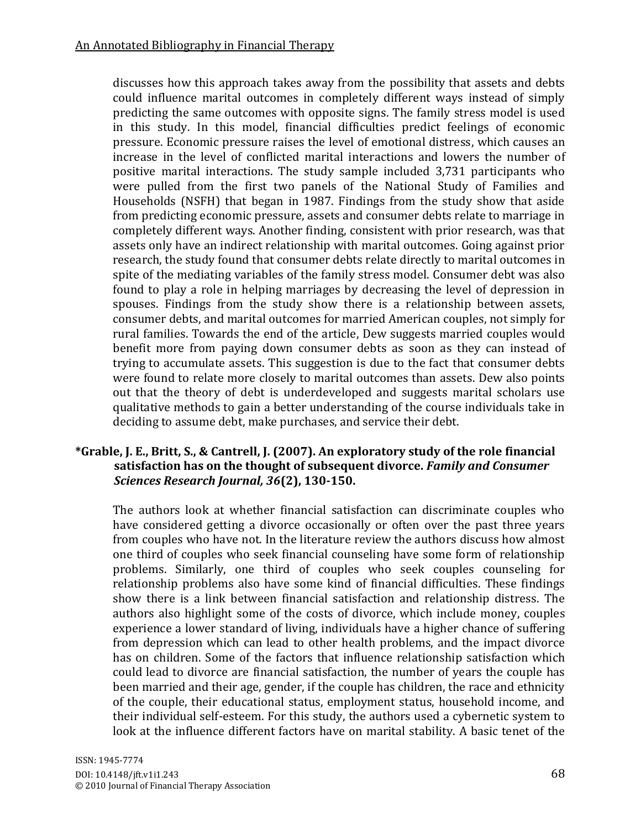discusses how this approach takes away from the possibility that assets and debts could influence marital outcomes in completely different ways instead of simply predicting the same outcomes with opposite signs. The family stress model is used in this study. In this model, financial difficulties predict feelings of economic pressure. Economic pressure raises the level of emotional distress, which causes an increase in the level of conflicted marital interactions and lowers the number of positive marital interactions. The study sample included 3,731 participants who were pulled from the first two panels of the National Study of Families and Households (NSFH) that began in 1987. Findings from the study show that aside from predicting economic pressure, assets and consumer debts relate to marriage in completely different ways. Another finding, consistent with prior research, was that assets only have an indirect relationship with marital outcomes. Going against prior research, the study found that consumer debts relate directly to marital outcomes in spite of the mediating variables of the family stress model. Consumer debt was also found to play a role in helping marriages by decreasing the level of depression in spouses. Findings from the study show there is a relationship between assets, consumer debts, and marital outcomes for married American couples, not simply for rural families. Towards the end of the article, Dew suggests married couples would benefit more from paying down consumer debts as soon as they can instead of trying to accumulate assets. This suggestion is due to the fact that consumer debts were found to relate more closely to marital outcomes than assets. Dew also points out that the theory of debt is underdeveloped and suggests marital scholars use qualitative methods to gain a better understanding of the course individuals take in deciding to assume debt, make purchases, and service their debt.

# \*Grable, J. E., Britt, S., & Cantrell, J. (2007). An exploratory study of the role financial  $\mathbf{F}_{\mathbf{A}}$  as on the thought of subsequent divorce. Family and Consumer *Sciences Research Journal, 36***(2), 130-150.**

The authors look at whether financial satisfaction can discriminate couples who have considered getting a divorce occasionally or often over the past three years from couples who have not. In the literature review the authors discuss how almost one third of couples who seek financial counseling have some form of relationship problems. Similarly, one third of couples who seek couples counseling for relationship problems also have some kind of financial difficulties. These findings show there is a link between financial satisfaction and relationship distress. The authors also highlight some of the costs of divorce, which include money, couples experience a lower standard of living, individuals have a higher chance of suffering from depression which can lead to other health problems, and the impact divorce has on children. Some of the factors that influence relationship satisfaction which could lead to divorce are financial satisfaction, the number of years the couple has been married and their age, gender, if the couple has children, the race and ethnicity of the couple, their educational status, employment status, household income, and their individual self-esteem. For this study, the authors used a cybernetic system to look at the influence different factors have on marital stability. A basic tenet of the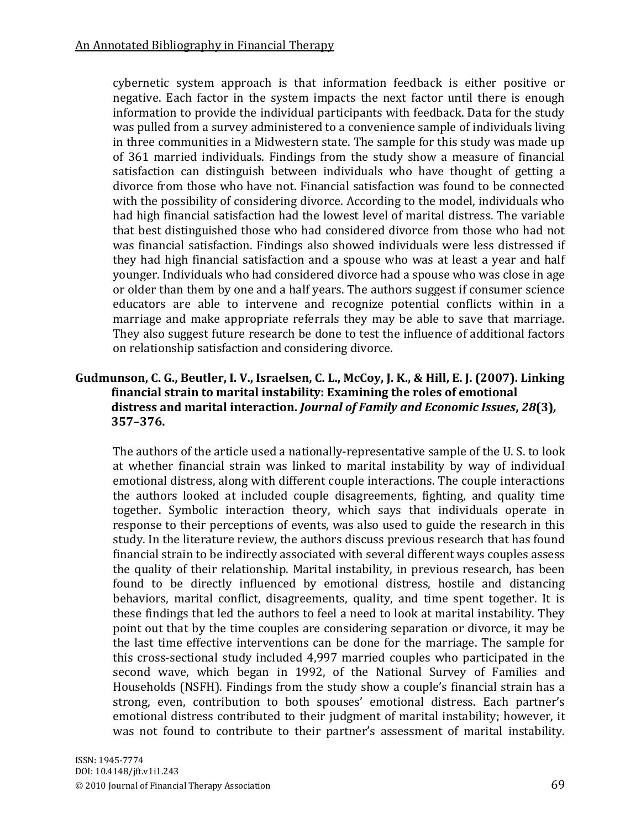cybernetic system approach is that information feedback is either positive or negative. Each factor in the system impacts the next factor until there is enough information to provide the individual participants with feedback. Data for the study was pulled from a survey administered to a convenience sample of individuals living in three communities in a Midwestern state. The sample for this study was made up of 361 married individuals. Findings from the study show a measure of financial satisfaction can distinguish between individuals who have thought of getting a divorce from those who have not. Financial satisfaction was found to be connected with the possibility of considering divorce. According to the model, individuals who had high financial satisfaction had the lowest level of marital distress. The variable that best distinguished those who had considered divorce from those who had not was financial satisfaction. Findings also showed individuals were less distressed if they had high financial satisfaction and a spouse who was at least a vear and half younger. Individuals who had considered divorce had a spouse who was close in age or older than them by one and a half years. The authors suggest if consumer science educators are able to intervene and recognize potential conflicts within in a marriage and make appropriate referrals they may be able to save that marriage. They also suggest future research be done to test the influence of additional factors on relationship satisfaction and considering divorce.

# Gudmunson, C. G., Beutler, I. V., Israelsen, C. L., McCoy, J. K., & Hill, E. J. (2007). Linking financial strain to marital instability: Examining the roles of emotional **#############distress#and#marital#interaction.#***Journal(of(Family(and(Economic(Issues***,#***28***(3)***,* **#############357Ȃ376.**

The authors of the article used a nationally-representative sample of the U. S. to look at whether financial strain was linked to marital instability by way of individual emotional distress, along with different couple interactions. The couple interactions the authors looked at included couple disagreements, fighting, and quality time together. Symbolic interaction theory, which says that individuals operate in response to their perceptions of events, was also used to guide the research in this study. In the literature review, the authors discuss previous research that has found financial strain to be indirectly associated with several different ways couples assess the quality of their relationship. Marital instability, in previous research, has been found to be directly influenced by emotional distress, hostile and distancing behaviors, marital conflict, disagreements, quality, and time spent together. It is these findings that led the authors to feel a need to look at marital instability. They point out that by the time couples are considering separation or divorce, it may be the last time effective interventions can be done for the marriage. The sample for this cross-sectional study included 4,997 married couples who participated in the second wave, which began in 1992, of the National Survey of Families and Households (NSFH). Findings from the study show a couple's financial strain has a strong, even, contribution to both spouses' emotional distress. Each partner's emotional distress contributed to their judgment of marital instability; however, it was not found to contribute to their partner's assessment of marital instability.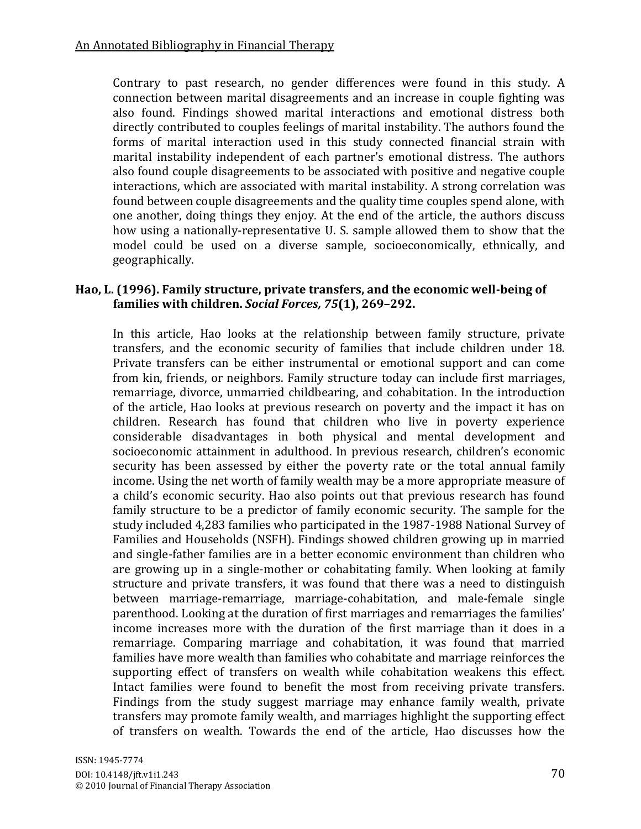Contrary to past research, no gender differences were found in this study. A connection between marital disagreements and an increase in couple fighting was also found. Findings showed marital interactions and emotional distress both directly contributed to couples feelings of marital instability. The authors found the forms of marital interaction used in this study connected financial strain with marital instability independent of each partner's emotional distress. The authors also found couple disagreements to be associated with positive and negative couple interactions, which are associated with marital instability. A strong correlation was found between couple disagreements and the quality time couples spend alone, with one another, doing things they enjoy. At the end of the article, the authors discuss how using a nationally-representative U. S. sample allowed them to show that the model could be used on a diverse sample, socioeconomically, ethnically, and geographically.

#### Hao, L. (1996). Family structure, private transfers, and the economic well-being of families with children. *Social Forces, 75*(1), 269-292.

In this article, Hao looks at the relationship between family structure, private transfers, and the economic security of families that include children under 18. Private transfers can be either instrumental or emotional support and can come from kin, friends, or neighbors. Family structure today can include first marriages, remarriage, divorce, unmarried childbearing, and cohabitation. In the introduction of the article, Hao looks at previous research on poverty and the impact it has on children. Research has found that children who live in poverty experience considerable disadvantages in both physical and mental development and socioeconomic attainment in adulthood. In previous research, children's economic security has been assessed by either the poverty rate or the total annual family income. Using the net worth of family wealth may be a more appropriate measure of a child's economic security. Hao also points out that previous research has found family structure to be a predictor of family economic security. The sample for the study included 4.283 families who participated in the 1987-1988 National Survey of Families and Households (NSFH). Findings showed children growing up in married and single-father families are in a better economic environment than children who are growing up in a single-mother or cohabitating family. When looking at family structure and private transfers, it was found that there was a need to distinguish between marriage-remarriage, marriage-cohabitation, and male-female single parenthood. Looking at the duration of first marriages and remarriages the families' income increases more with the duration of the first marriage than it does in a remarriage. Comparing marriage and cohabitation, it was found that married families have more wealth than families who cohabitate and marriage reinforces the supporting effect of transfers on wealth while cohabitation weakens this effect. Intact families were found to benefit the most from receiving private transfers. Findings from the study suggest marriage may enhance family wealth, private transfers may promote family wealth, and marriages highlight the supporting effect of transfers on wealth. Towards the end of the article, Hao discusses how the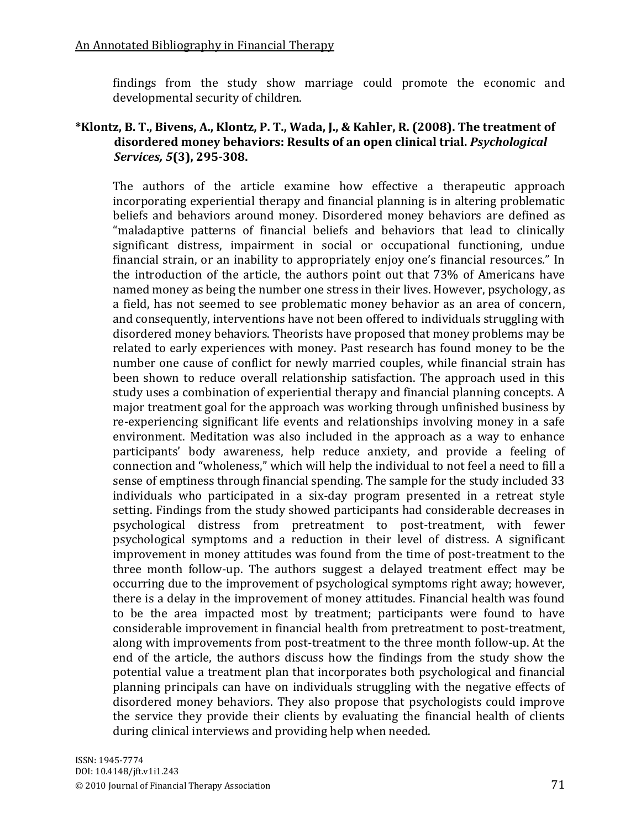findings from the study show marriage could promote the economic and developmental security of children.

#### \*Klontz, B. T., Bivens, A., Klontz, P. T., Wada, J., & Kahler, R. (2008). The treatment of  $\mu$  alsordered money behaviors: Results of an open clinical trial. *Psychological ((((((((((((((Services,(5***(3),#295Y308.**

The authors of the article examine how effective a therapeutic approach incorporating experiential therapy and financial planning is in altering problematic beliefs and behaviors around money. Disordered money behaviors are defined as "maladaptive patterns of financial beliefs and behaviors that lead to clinically significant distress, impairment in social or occupational functioning, undue financial strain, or an inability to appropriately enjoy one's financial resources." In the introduction of the article, the authors point out that 73% of Americans have named money as being the number one stress in their lives. However, psychology, as a field, has not seemed to see problematic money behavior as an area of concern, and consequently, interventions have not been offered to individuals struggling with disordered money behaviors. Theorists have proposed that money problems may be related to early experiences with money. Past research has found money to be the number one cause of conflict for newly married couples, while financial strain has been shown to reduce overall relationship satisfaction. The approach used in this study uses a combination of experiential therapy and financial planning concepts. A major treatment goal for the approach was working through unfinished business by re-experiencing significant life events and relationships involving money in a safe environment. Meditation was also included in the approach as a way to enhance participants' body awareness, help reduce anxiety, and provide a feeling of connection and "wholeness," which will help the individual to not feel a need to fill a sense of emptiness through financial spending. The sample for the study included 33 individuals who participated in a six-day program presented in a retreat style setting. Findings from the study showed participants had considerable decreases in psychological distress from pretreatment to post-treatment, with fewer psychological symptoms and a reduction in their level of distress. A significant improvement in money attitudes was found from the time of post-treatment to the three month follow-up. The authors suggest a delayed treatment effect may be occurring due to the improvement of psychological symptoms right away; however, there is a delay in the improvement of money attitudes. Financial health was found to be the area impacted most by treatment; participants were found to have considerable improvement in financial health from pretreatment to post-treatment, along with improvements from post-treatment to the three month follow-up. At the end of the article, the authors discuss how the findings from the study show the potential value a treatment plan that incorporates both psychological and financial planning principals can have on individuals struggling with the negative effects of disordered money behaviors. They also propose that psychologists could improve the service they provide their clients by evaluating the financial health of clients during clinical interviews and providing help when needed.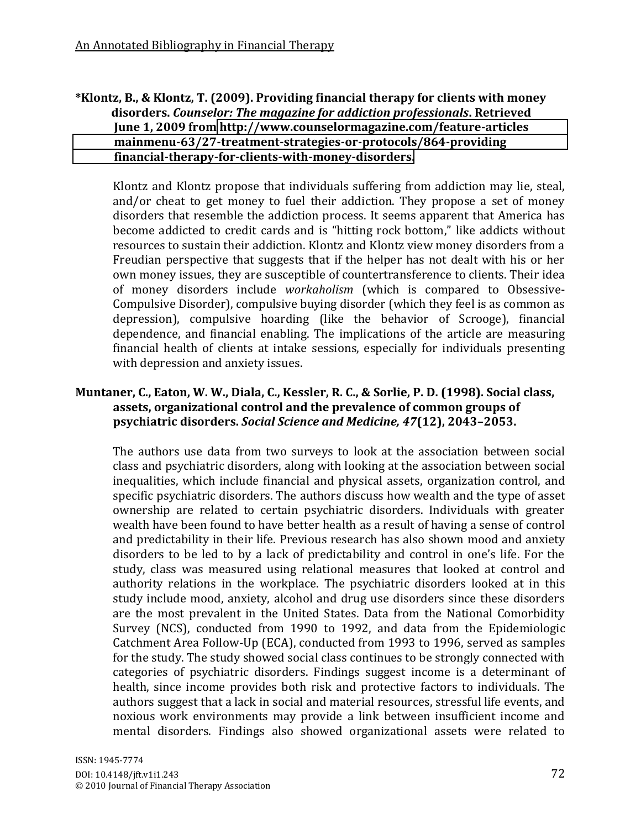#### \*Klontz, B., & Klontz, T. (2009). Providing financial therapy for clients with money  $\boldsymbol{\theta}$  *disorders. Counselor: The magazine for addiction professionals. Retrieved* **June 1, 2009 from http://www.counselormagazine.com/feature-articles [##############mainmenuY63/27YtreatmentYstrategiesYorYprotocols/864Yproviding](http://www.counselormagazine.com/feature-articles%20%20%20%20%20%20%20%20%20%20%20%20%20%20mainmenu-63/27-treatment-strategies-or-protocols/864-providing%20%20%20%20%20%20%20%20%20%20%20%20%20%20financial-therapy-for-clients-with-money-disorders)** financial-therapy-for-clients-with-money-disorders.

Klontz and Klontz propose that individuals suffering from addiction may lie, steal, and/or cheat to get money to fuel their addiction. They propose a set of money disorders that resemble the addiction process. It seems apparent that America has become addicted to credit cards and is "hitting rock bottom," like addicts without resources to sustain their addiction. Klontz and Klontz view money disorders from a Freudian perspective that suggests that if the helper has not dealt with his or her own money issues, they are susceptible of countertransference to clients. Their idea of money disorders include *workaholism* (which is compared to Obsessive-Compulsive Disorder), compulsive buying disorder (which they feel is as common as depression), compulsive hoarding (like the behavior of Scrooge), financial dependence, and financial enabling. The implications of the article are measuring financial health of clients at intake sessions, especially for individuals presenting with depression and anxiety issues.

# **Muntaner, C., Eaton, W. W., Diala, C., Kessler, R. C., & Sorlie, P. D. (1998). Social class,** assets, organizational control and the prevalence of common groups of **psychiatric disorders. Social Science and Medicine, 47(12), 2043-2053.**

The authors use data from two surveys to look at the association between social class and psychiatric disorders, along with looking at the association between social inequalities, which include financial and physical assets, organization control, and specific psychiatric disorders. The authors discuss how wealth and the type of asset ownership are related to certain psychiatric disorders. Individuals with greater wealth have been found to have better health as a result of having a sense of control and predictability in their life. Previous research has also shown mood and anxiety disorders to be led to by a lack of predictability and control in one's life. For the study, class was measured using relational measures that looked at control and authority relations in the workplace. The psychiatric disorders looked at in this study include mood, anxiety, alcohol and drug use disorders since these disorders are the most prevalent in the United States. Data from the National Comorbidity Survey (NCS), conducted from  $1990$  to  $1992$ , and data from the Epidemiologic Catchment Area Follow-Up (ECA), conducted from 1993 to 1996, served as samples for the study. The study showed social class continues to be strongly connected with categories of psychiatric disorders. Findings suggest income is a determinant of health, since income provides both risk and protective factors to individuals. The authors suggest that a lack in social and material resources, stressful life events, and noxious work environments may provide a link between insufficient income and mental disorders. Findings also showed organizational assets were related to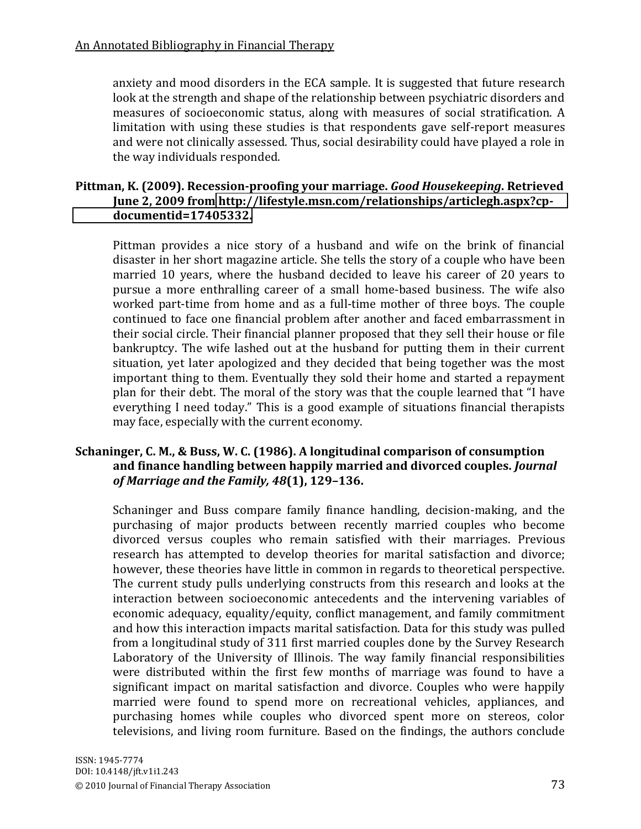anxiety and mood disorders in the ECA sample. It is suggested that future research look at the strength and shape of the relationship between psychiatric disorders and measures of socioeconomic status, along with measures of social stratification. A limitation with using these studies is that respondents gave self-report measures and were not clinically assessed. Thus, social desirability could have played a role in the way individuals responded.

#### Pittman, K. (2009). Recession-proofing your marriage. *Good Housekeeping*. Retrieved June 2, 2009 from http://lifestyle.msn.com/relationships/articlegh.aspx?cp**[documentid=17405332.](http://lifestyle.msn.com/relationships/articlegh.aspx?cp-documentid=17405332)**

Pittman provides a nice story of a husband and wife on the brink of financial disaster in her short magazine article. She tells the story of a couple who have been married 10 years, where the husband decided to leave his career of 20 years to pursue a more enthralling career of a small home-based business. The wife also worked part-time from home and as a full-time mother of three boys. The couple continued to face one financial problem after another and faced embarrassment in their social circle. Their financial planner proposed that they sell their house or file bankruptcy. The wife lashed out at the husband for putting them in their current situation, yet later apologized and they decided that being together was the most important thing to them. Eventually they sold their home and started a repayment plan for their debt. The moral of the story was that the couple learned that "I have everything I need today." This is a good example of situations financial therapists may face, especially with the current economy.

# **Schaninger, C. M., & Buss, W. C. (1986). A longitudinal comparison of consumption** and finance handling between happily married and divorced couples. *Journal of Marriage and the Family, 48*(1), 129-136.

Schaninger and Buss compare family finance handling, decision-making, and the purchasing of major products between recently married couples who become divorced versus couples who remain satisfied with their marriages. Previous research has attempted to develop theories for marital satisfaction and divorce; however, these theories have little in common in regards to theoretical perspective. The current study pulls underlying constructs from this research and looks at the interaction between socioeconomic antecedents and the intervening variables of economic adequacy, equality/equity, conflict management, and family commitment and how this interaction impacts marital satisfaction. Data for this study was pulled from a longitudinal study of 311 first married couples done by the Survey Research Laboratory of the University of Illinois. The way family financial responsibilities were distributed within the first few months of marriage was found to have a significant impact on marital satisfaction and divorce. Couples who were happily married were found to spend more on recreational vehicles, appliances, and purchasing homes while couples who divorced spent more on stereos, color televisions, and living room furniture. Based on the findings, the authors conclude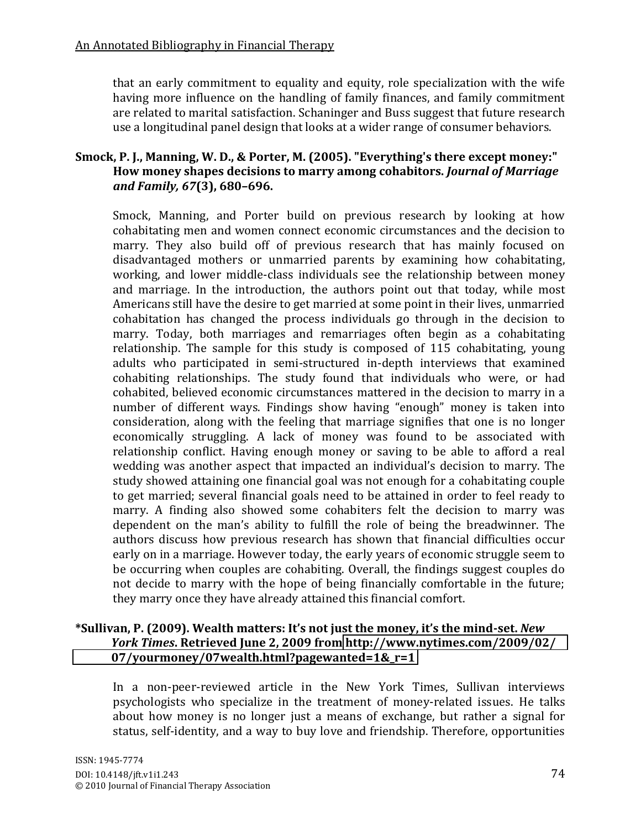that an early commitment to equality and equity, role specialization with the wife having more influence on the handling of family finances, and family commitment are related to marital satisfaction. Schaninger and Buss suggest that future research use a longitudinal panel design that looks at a wider range of consumer behaviors.

# Smock, P. J., Manning, W. D., & Porter, M. (2005). "Everything's there except money:" How money shapes decisions to marry among cohabitors. *Journal of Marriage and Family, 67*(3), 680-696.

Smock, Manning, and Porter build on previous research by looking at how cohabitating men and women connect economic circumstances and the decision to marry. They also build off of previous research that has mainly focused on disadvantaged mothers or unmarried parents by examining how cohabitating, working, and lower middle-class individuals see the relationship between money and marriage. In the introduction, the authors point out that today, while most Americans still have the desire to get married at some point in their lives, unmarried cohabitation has changed the process individuals go through in the decision to marry. Today, both marriages and remarriages often begin as a cohabitating relationship. The sample for this study is composed of  $115$  cohabitating, young adults who participated in semi-structured in-depth interviews that examined cohabiting relationships. The study found that individuals who were, or had cohabited, believed economic circumstances mattered in the decision to marry in a number of different ways. Findings show having "enough" money is taken into consideration, along with the feeling that marriage signifies that one is no longer economically struggling. A lack of money was found to be associated with relationship conflict. Having enough money or saving to be able to afford a real wedding was another aspect that impacted an individual's decision to marry. The study showed attaining one financial goal was not enough for a cohabitating couple to get married; several financial goals need to be attained in order to feel ready to marry. A finding also showed some cohabiters felt the decision to marry was dependent on the man's ability to fulfill the role of being the breadwinner. The authors discuss how previous research has shown that financial difficulties occur early on in a marriage. However today, the early years of economic struggle seem to be occurring when couples are cohabiting. Overall, the findings suggest couples do not decide to marry with the hope of being financially comfortable in the future; they marry once they have already attained this financial comfort.

# \*Sullivan, P. (2009). Wealth matters: It's not just the money, it's the mind-set. New *(((((((((((((York(Times***. Retrieved#June#2,#2009#from [http://www.nytimes.com/2009/02/](http://www.nytimes.com/2009/02/%20%20%20%20%20%20%20%20%20%20%20%20%2007/yourmoney/07wealth.html?pagewanted=1&_r=1) [#############07/yourmoney/07wealth.html?pagewanted=1&\\_r=1](http://www.nytimes.com/2009/02/%20%20%20%20%20%20%20%20%20%20%20%20%2007/yourmoney/07wealth.html?pagewanted=1&_r=1)**

In a non-peer-reviewed article in the New York Times, Sullivan interviews psychologists who specialize in the treatment of money-related issues. He talks about how money is no longer just a means of exchange, but rather a signal for status, self-identity, and a way to buy love and friendship. Therefore, opportunities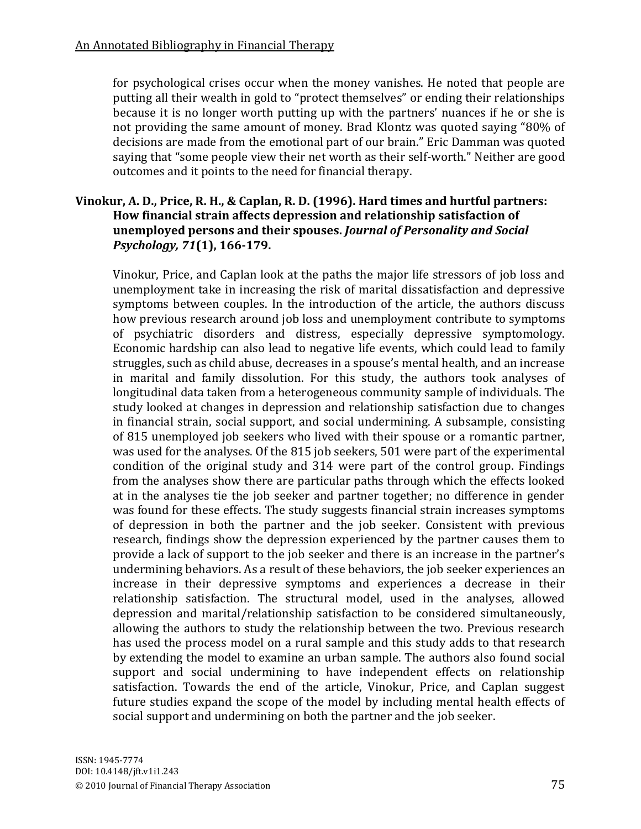for psychological crises occur when the money vanishes. He noted that people are putting all their wealth in gold to "protect themselves" or ending their relationships because it is no longer worth putting up with the partners' nuances if he or she is not providing the same amount of money. Brad Klontz was quoted saying "80% of decisions are made from the emotional part of our brain." Eric Damman was quoted saying that "some people view their net worth as their self-worth." Neither are good outcomes and it points to the need for financial therapy.

## **Vinokur, A. D., Price, R. H., & Caplan, R. D. (1996). Hard times and hurtful partners:** How financial strain affects depression and relationship satisfaction of **unemployed persons and their spouses. Journal of Personality and Social** *Psychology, 71*(1), 166-179.

Vinokur, Price, and Caplan look at the paths the major life stressors of job loss and unemployment take in increasing the risk of marital dissatisfaction and depressive symptoms between couples. In the introduction of the article, the authors discuss how previous research around job loss and unemployment contribute to symptoms of psychiatric disorders and distress, especially depressive symptomology. Economic hardship can also lead to negative life events, which could lead to family struggles, such as child abuse, decreases in a spouse's mental health, and an increase in marital and family dissolution. For this study, the authors took analyses of longitudinal data taken from a heterogeneous community sample of individuals. The study looked at changes in depression and relationship satisfaction due to changes in financial strain, social support, and social undermining. A subsample, consisting of 815 unemployed job seekers who lived with their spouse or a romantic partner, was used for the analyses. Of the 815 job seekers, 501 were part of the experimental condition of the original study and 314 were part of the control group. Findings from the analyses show there are particular paths through which the effects looked at in the analyses tie the job seeker and partner together; no difference in gender was found for these effects. The study suggests financial strain increases symptoms of depression in both the partner and the job seeker. Consistent with previous research, findings show the depression experienced by the partner causes them to provide a lack of support to the job seeker and there is an increase in the partner's undermining behaviors. As a result of these behaviors, the job seeker experiences an increase in their depressive symptoms and experiences a decrease in their relationship satisfaction. The structural model, used in the analyses, allowed depression and marital/relationship satisfaction to be considered simultaneously, allowing the authors to study the relationship between the two. Previous research has used the process model on a rural sample and this study adds to that research by extending the model to examine an urban sample. The authors also found social support and social undermining to have independent effects on relationship satisfaction. Towards the end of the article, Vinokur, Price, and Caplan suggest future studies expand the scope of the model by including mental health effects of social support and undermining on both the partner and the job seeker.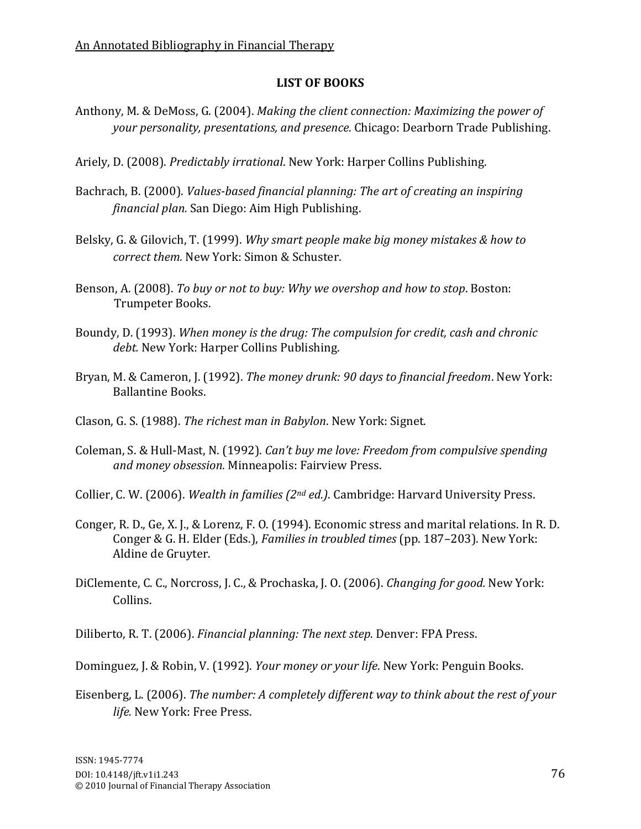#### **LIST#OF#BOOKS**

- Anthony, M. & DeMoss, G. (2004). *Making the client connection: Maximizing the power of your personality, presentations, and presence.* Chicago: Dearborn Trade Publishing.
- Ariely, D. (2008). *Predictably irrational*. New York: Harper Collins Publishing.
- Bachrach, B. (2000). *Values-based financial planning: The art of creating an inspiring financial plan.* San Diego: Aim High Publishing.
- Belsky, G. & Gilovich, T. (1999). *Why smart people make big money mistakes & how to correct them.* New York: Simon & Schuster.
- Benson, A. (2008). *To buy or not to buy: Why we overshop and how to stop.* Boston: Trumpeter Books.
- Boundy, D. (1993). When money is the drug: The compulsion for credit, cash and chronic debt. New York: Harper Collins Publishing.
- Bryan, M. & Cameron, J. (1992). *The money drunk: 90 days to financial freedom*. New York: Ballantine Books.
- Clason, G. S. (1988). *The richest man in Babylon*. New York: Signet.
- Coleman, S. & Hull-Mast, N. (1992). *Can't buy me love: Freedom from compulsive spending* and money obsession. Minneapolis: Fairview Press.
- Collier, C. W. (2006). *Wealth in families (2<sup>nd</sup> ed.)*. Cambridge: Harvard University Press.
- Conger, R. D., Ge, X. J., & Lorenz, F. O. (1994). Economic stress and marital relations. In R. D. Conger & G. H. Elder (Eds.), *Families in troubled times* (pp. 187–203). New York: Aldine de Gruyter.
- DiClemente, C. C., Norcross, J. C., & Prochaska, J. O. (2006). *Changing for good.* New York: Collins.
- Diliberto, R. T. (2006). *Financial planning: The next step.* Denver: FPA Press.
- Dominguez, J. & Robin, V. (1992). *Your money or your life*. New York: Penguin Books.
- Eisenberg, L. (2006). *The number: A completely different way to think about the rest of your life.* New York: Free Press.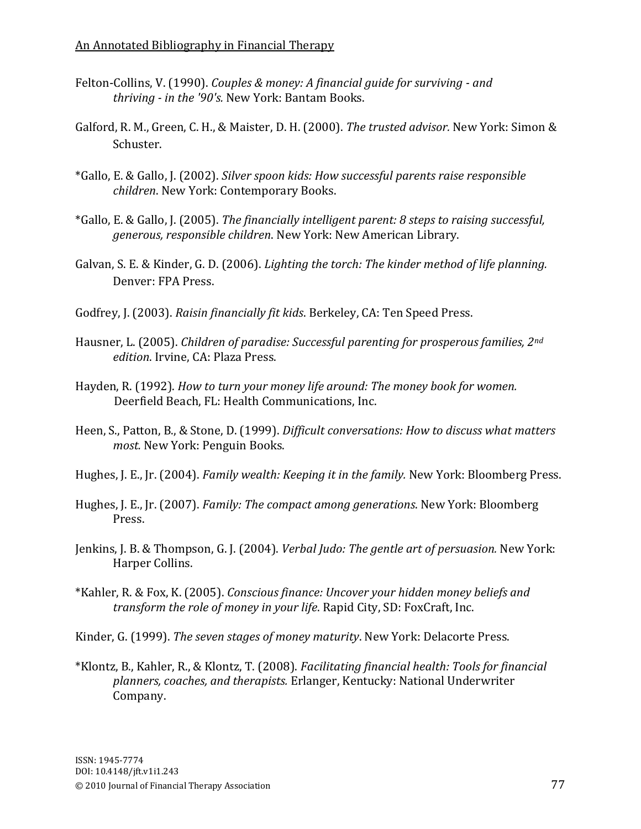- Felton-Collins, V. (1990). *Couples & money: A financial guide for surviving and thriving - in the '90's.* New York: Bantam Books.
- Galford, R. M., Green, C. H., & Maister, D. H. (2000). *The trusted advisor.* New York: Simon & Schuster.
- \*Gallo, E. & Gallo, J. (2002). *Silver spoon kids: How successful parents raise responsible children*. New York: Contemporary Books.
- \*Gallo, E. & Gallo, J. (2005). *The financially intelligent parent: 8 steps to raising successful,* generous, responsible children. New York: New American Library.
- Galvan, S. E. & Kinder, G. D. (2006). *Lighting the torch: The kinder method of life planning.* Denver: FPA Press.
- Godfrey, J. (2003). *Raisin financially fit kids*. Berkeley, CA: Ten Speed Press.
- Hausner, L. (2005). *Children of paradise: Successful parenting for prosperous families, 2<sup>nd</sup> edition*. Irvine, CA: Plaza Press.
- Hayden, R. (1992). *How to turn your money life around: The money book for women.* Deerfield Beach, FL: Health Communications, Inc.
- Heen, S., Patton, B., & Stone, D. (1999). *Difficult conversations: How to discuss what matters* most. New York: Penguin Books.
- Hughes, J. E., Jr. (2004). *Family wealth: Keeping it in the family.* New York: Bloomberg Press.
- Hughes, J. E., Jr. (2007). *Family: The compact among generations*. New York: Bloomberg Press.
- Jenkins, J. B. & Thompson, G. J. (2004). *Verbal Judo: The gentle art of persuasion.* New York: Harper Collins.
- \*Kahler, R. & Fox, K. (2005). *Conscious finance: Uncover your hidden money beliefs and transform the role of money in your life.* Rapid City, SD: FoxCraft, Inc.

Kinder, G. (1999). The seven stages of money maturity. New York: Delacorte Press.

\*Klontz, B., Kahler, R., & Klontz, T. (2008). *Facilitating financial health: Tools for financial* planners, coaches, and therapists. Erlanger, Kentucky: National Underwriter Company.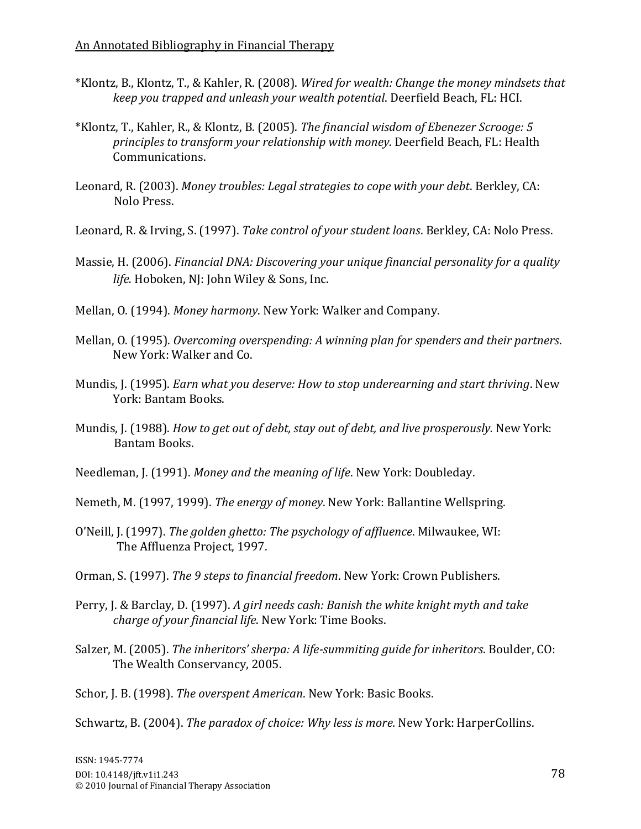- \*Klontz, B., Klontz, T., & Kahler, R. (2008). *Wired for wealth: Change the money mindsets that keep you trapped and unleash your wealth potential. Deerfield Beach, FL: HCI.*
- \*Klontz, T., Kahler, R., & Klontz, B. (2005). *The financial wisdom of Ebenezer Scrooge: 5* principles to transform your relationship with money. Deerfield Beach, FL: Health Communications.
- Leonard, R. (2003). *Money troubles: Legal strategies to cope with your debt. Berkley, CA:* Nolo Press.
- Leonard, R. & Irving, S. (1997). *Take control of your student loans*. Berkley, CA: Nolo Press.
- Massie, H. (2006). *Financial DNA: Discovering your unique financial personality for a quality life.* Hoboken, NJ: John Wiley & Sons, Inc.
- Mellan, O. (1994). *Money harmony*. New York: Walker and Company.
- Mellan, O. (1995). *Overcoming overspending: A winning plan for spenders and their partners.* New York: Walker and Co.
- Mundis, J. (1995). *Earn what you deserve: How to stop underearning and start thriving*. New York: Bantam Books.
- Mundis, J. (1988). *How to get out of debt, stay out of debt, and live prosperously.* New York: Bantam Books.
- Needleman, J. (1991). *Money and the meaning of life*. New York: Doubleday.
- Nemeth, M. (1997, 1999). *The energy of money*. New York: Ballantine Wellspring.
- O'Neill, J. (1997). The golden ghetto: The psychology of affluence. Milwaukee, WI: The Affluenza Project, 1997.
- Orman, S. (1997). *The 9 steps to financial freedom*. New York: Crown Publishers.
- Perry, J. & Barclay, D. (1997). A girl needs cash: Banish the white knight myth and take *charge of your financial life.* New York: Time Books.
- Salzer, M. (2005). *The inheritors' sherpa: A life-summiting guide for inheritors*. Boulder, CO: The Wealth Conservancy, 2005.

Schor, J. B. (1998). *The overspent American*. New York: Basic Books.

Schwartz, B. (2004). *The paradox of choice: Why less is more.* New York: HarperCollins.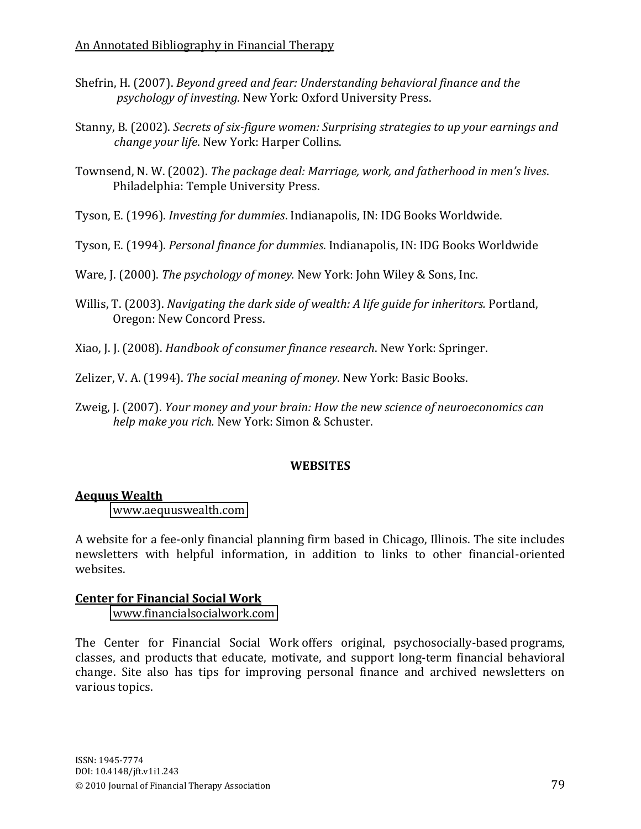- Shefrin, H. (2007). *Beyond greed and fear: Understanding behavioral finance and the* psychology of investing. New York: Oxford University Press.
- Stanny, B. (2002). *Secrets of six-figure women: Surprising strategies to up your earnings and change your life.* New York: Harper Collins.
- Townsend, N. W. (2002). *The package deal: Marriage, work, and fatherhood in men's lives.* Philadelphia: Temple University Press.
- Tyson, E. (1996). *Investing for dummies*. Indianapolis, IN: IDG Books Worldwide.
- Tyson, E. (1994). *Personal finance for dummies*. Indianapolis, IN: IDG Books Worldwide

Ware, J. (2000). *The psychology of money.* New York: John Wiley & Sons, Inc.

- Willis, T. (2003). *Navigating the dark side of wealth: A life guide for inheritors.* Portland, Oregon: New Concord Press.
- Xiao, J. J. (2008). *Handbook of consumer finance research*. New York: Springer.

Zelizer, V. A. (1994). *The social meaning of money*. New York: Basic Books.

Zweig, J. (2007). *Your money and your brain: How the new science of neuroeconomics can help make you rich.* New York: Simon & Schuster.

# **WEBSITES**

# **Aequus Wealth**

[www.aequuswealth.com](http://www.aequuswealth.com/)

A website for a fee-only financial planning firm based in Chicago, Illinois. The site includes newsletters with helpful information, in addition to links to other financial-oriented websites.

# **Center for Financial Social Work**

[www.financialsocialwork.com](http://www.financialsocialwork.com/)

The Center for Financial Social Work offers original, psychosocially-based programs, classes, and products that educate, motivate, and support long-term financial behavioral change. Site also has tips for improving personal finance and archived newsletters on various topics.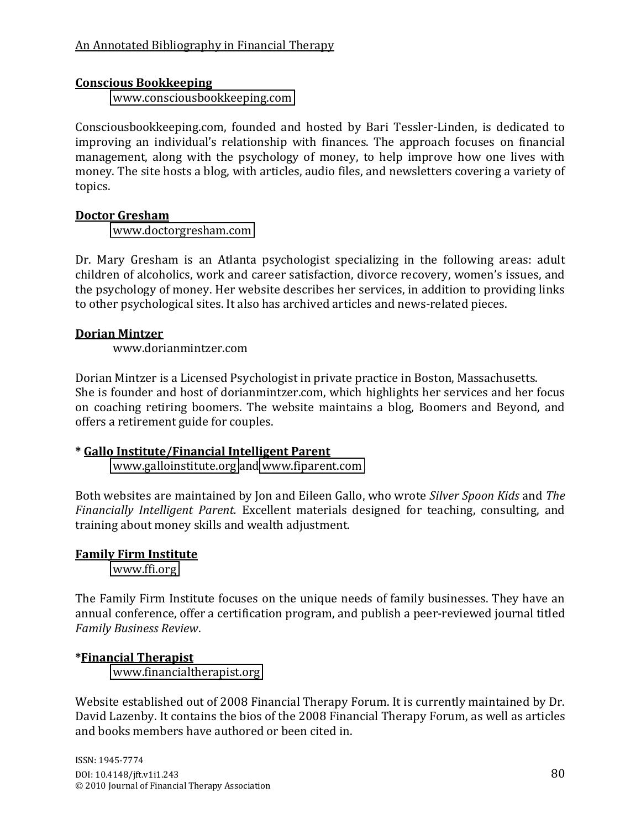#### **Conscious Bookkeeping**

[www.consciousbookkeeping.com](http://www.consciousbookkeeping.com/)

Consciousbookkeeping.com, founded and hosted by Bari Tessler-Linden, is dedicated to improving an individual's relationship with finances. The approach focuses on financial management, along with the psychology of money, to help improve how one lives with money. The site hosts a blog, with articles, audio files, and newsletters covering a variety of topics.

## **Doctor Gresham**

[www.doctorgresham.com](http://www.doctorgresham.com/)

Dr. Mary Gresham is an Atlanta psychologist specializing in the following areas: adult children of alcoholics, work and career satisfaction, divorce recovery, women's issues, and the psychology of money. Her website describes her services, in addition to providing links to other psychological sites. It also has archived articles and news-related pieces.

# **Dorian#Mintzer**

www.dorianmintzer.com

Dorian Mintzer is a Licensed Psychologist in private practice in Boston, Massachusetts. She is founder and host of dorianmintzer.com, which highlights her services and her focus on coaching retiring boomers. The website maintains a blog, Boomers and Beyond, and offers a retirement guide for couples.

# **\*#Gallo#Institute/Financial#Intelligent#Parent**

[www.galloinstitute.org](http://www.galloinstitute.org/) and[\\$www.fiparent.com](http://www.fiparent.com/)

Both websites are maintained by Jon and Eileen Gallo, who wrote *Silver Spoon Kids* and *The Financially Intelligent Parent.* Excellent materials designed for teaching, consulting, and training about money skills and wealth adjustment.

# **Family Firm Institute**

[www.ffi.org](http://www.ffi.org/)

The Family Firm Institute focuses on the unique needs of family businesses. They have an annual conference, offer a certification program, and publish a peer-reviewed journal titled *Family!Business!Review*.

# **\*Financial#Therapist**

[www.financialtherapist.org](http://www.financialtherapist.org/)

Website established out of 2008 Financial Therapy Forum. It is currently maintained by Dr. David Lazenby. It contains the bios of the 2008 Financial Therapy Forum, as well as articles and books members have authored or been cited in.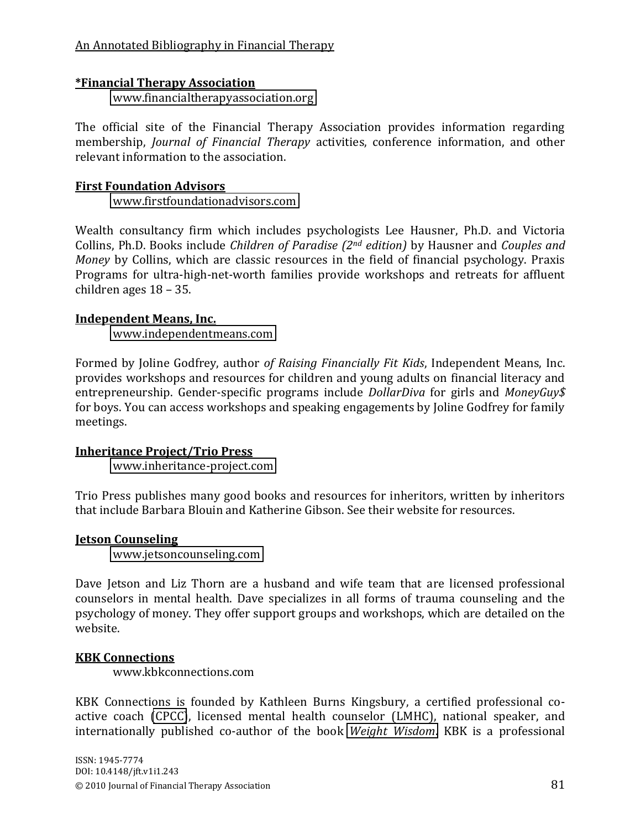#### **\*Financial Therapy Association**

[www.financialtherapyassociation.org](http://www.financialtherapyassociation.org/)

The official site of the Financial Therapy Association provides information regarding membership, *Journal of Financial Therapy* activities, conference information, and other relevant information to the association.

#### **First Foundation Advisors**

[www.firstfoundationadvisors.com](http://www.firstfoundationadvisors.com/)

Wealth consultancy firm which includes psychologists Lee Hausner, Ph.D. and Victoria Collins, Ph.D. Books include *Children of Paradise (2<sup>nd</sup> edition)* by Hausner and *Couples and Money* by Collins, which are classic resources in the field of financial psychology. Praxis Programs for ultra-high-net-worth families provide workshops and retreats for affluent children ages  $18 - 35$ .

#### **Independent Means, Inc.**

[www.independentmeans.com](http://www.independentmeans.com/)

Formed by Joline Godfrey, author *of Raising Financially Fit Kids*, Independent Means, Inc. provides workshops and resources for children and young adults on financial literacy and entrepreneurship. Gender-specific programs include *DollarDiva* for girls and *MoneyGuy\$* for boys. You can access workshops and speaking engagements by Joline Godfrey for family meetings.

#### **Inheritance Project/Trio Press**

www.inheritance-project.com

Trio Press publishes many good books and resources for inheritors, written by inheritors that include Barbara Blouin and Katherine Gibson. See their website for resources.

#### **Jetson Counseling**

[www.jetsoncounseling.com](http://www.jetsoncounseling.com/)

Dave Jetson and Liz Thorn are a husband and wife team that are licensed professional counselors in mental health. Dave specializes in all forms of trauma counseling and the psychology of money. They offer support groups and workshops, which are detailed on the website.

#### **KBK Connections**

www.kbkconnections.com

KBK Connections is founded by Kathleen Burns Kingsbury, a certified professional co-active coach [\(CPCC\)](http://www.thecoaches.com/), licensed mental health counselor (LMHC), national speaker, and internationally published co-author of the book *Weight Wisdom*. KBK is a professional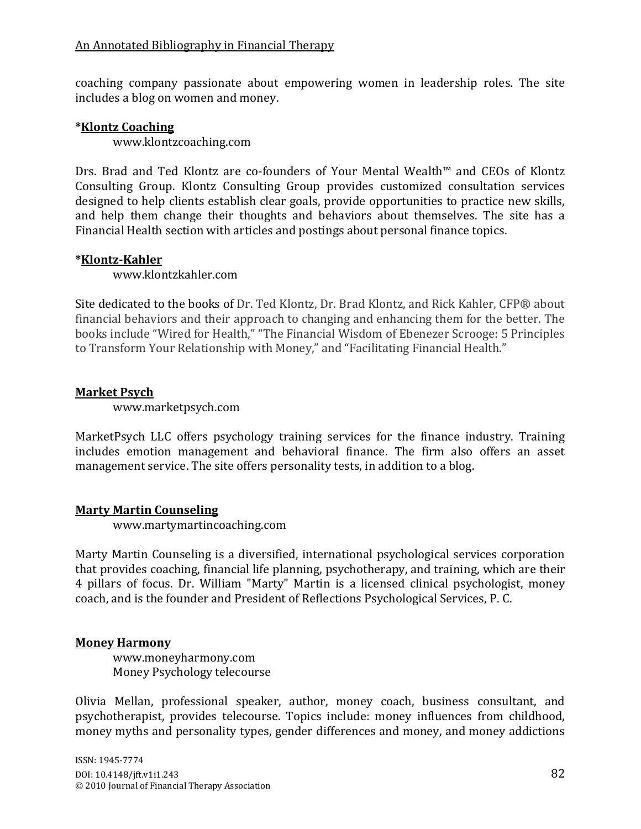coaching company passionate about empowering women in leadership roles. The site includes a blog on women and money.

#### **\*Klontz Coaching**

www.klontzcoaching.com

Drs. Brad and Ted Klontz are co-founders of Your Mental Wealth<sup> $M$ </sup> and CEOs of Klontz Consulting Group. Klontz Consulting Group provides customized consultation services designed to help clients establish clear goals, provide opportunities to practice new skills, and help them change their thoughts and behaviors about themselves. The site has a Financial Health section with articles and postings about personal finance topics.

#### \*Klontz-Kahler

www.klontzkahler.com

Site dedicated to the books of Dr. Ted Klontz, Dr. Brad Klontz, and Rick Kahler, CFP® about financial behaviors and their approach to changing and enhancing them for the better. The books include "Wired for Health," "The Financial Wisdom of Ebenezer Scrooge: 5 Principles to Transform Your Relationship with Money," and "Facilitating Financial Health."

## **Market Psych**

www.marketpsych.com

MarketPsych LLC offers psychology training services for the finance industry. Training includes emotion management and behavioral finance. The firm also offers an asset management service. The site offers personality tests, in addition to a blog.

#### **Marty Martin Counseling**

www.martymartincoaching.com

Marty Martin Counseling is a diversified, international psychological services corporation that provides coaching, financial life planning, psychotherapy, and training, which are their 4 pillars of focus. Dr. William "Marty" Martin is a licensed clinical psychologist, money coach, and is the founder and President of Reflections Psychological Services, P. C.

#### **Money Harmony**

www.moneyharmony.com Money Psychology telecourse

Olivia Mellan, professional speaker, author, money coach, business consultant, and psychotherapist, provides telecourse. Topics include: money influences from childhood, money myths and personality types, gender differences and money, and money addictions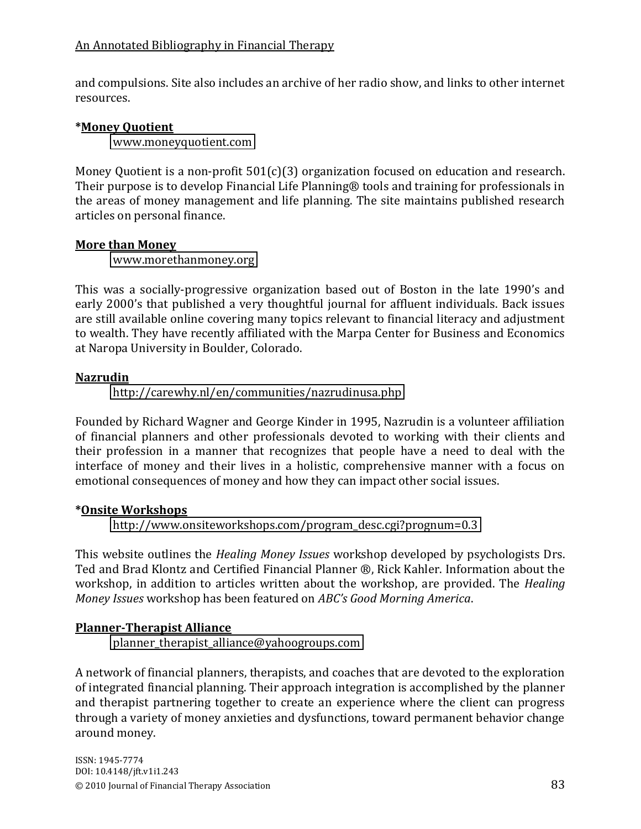and compulsions. Site also includes an archive of her radio show, and links to other internet resources.

# **\*Money#Quotient**

[www.moneyquotient.com](http://www.moneyquotient.com/)

Money Quotient is a non-profit  $501(c)(3)$  organization focused on education and research. Their purpose is to develop Financial Life Planning® tools and training for professionals in the areas of money management and life planning. The site maintains published research articles on personal finance.

# **More than Money**

[www.morethanmoney.org](http://www.morethanmoney.org/)

This was a socially-progressive organization based out of Boston in the late 1990's and early 2000's that published a very thoughtful journal for affluent individuals. Back issues are still available online covering many topics relevant to financial literacy and adjustment to wealth. They have recently affiliated with the Marpa Center for Business and Economics at Naropa University in Boulder, Colorado.

# **Nazrudin**

<http://carewhy.nl/en/communities/nazrudinusa.php>

Founded by Richard Wagner and George Kinder in 1995, Nazrudin is a volunteer affiliation of financial planners and other professionals devoted to working with their clients and their profession in a manner that recognizes that people have a need to deal with the interface of money and their lives in a holistic, comprehensive manner with a focus on emotional consequences of money and how they can impact other social issues.

# **\*Onsite#Workshops**

[http://www.onsiteworkshops.com/program\\_desc.cgi?prognum=0.3](http://www.onsiteworkshops.com/program_desc.cgi?prognum=0.3)

This website outlines the *Healing Money Issues* workshop developed by psychologists Drs. Ted and Brad Klontz and Certified Financial Planner ®, Rick Kahler. Information about the workshop, in addition to articles written about the workshop, are provided. The *Healing Money Issues* workshop has been featured on ABC's Good Morning America.

# **Planner-Therapist Alliance**

[planner\\_therapist\\_alliance@yahoogroups.com](mailto:planner_therapist_alliance@yahoogroups.com)

A network of financial planners, therapists, and coaches that are devoted to the exploration of integrated financial planning. Their approach integration is accomplished by the planner and therapist partnering together to create an experience where the client can progress through a variety of money anxieties and dysfunctions, toward permanent behavior change around money.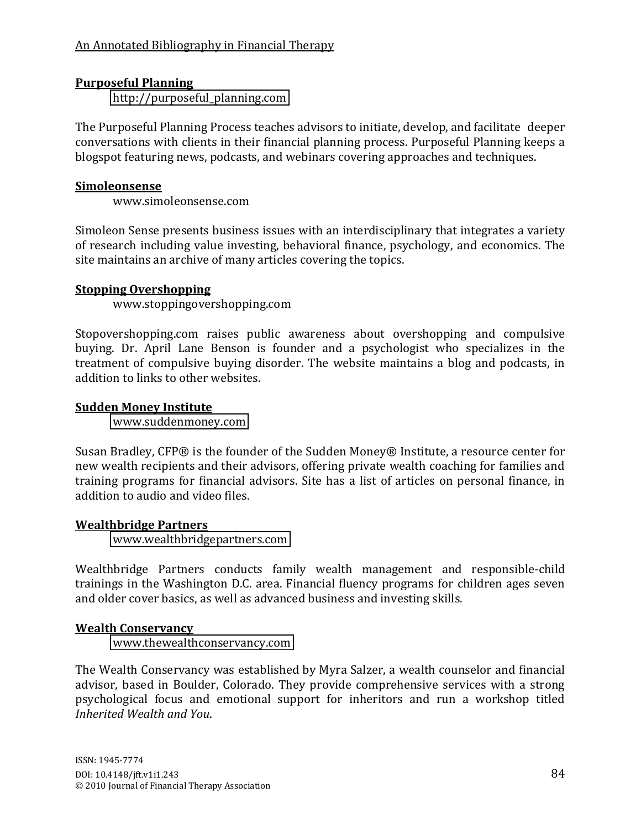# **Purposeful Planning**

[http://purposeful\\_planning.com](http://purposeful_planning.com/)

The Purposeful Planning Process teaches advisors to initiate, develop, and facilitate deeper conversations with clients in their financial planning process. Purposeful Planning keeps a blogspot featuring news, podcasts, and webinars covering approaches and techniques.

#### **Simoleonsense**

www.simoleonsense.com

Simoleon Sense presents business issues with an interdisciplinary that integrates a variety of research including value investing, behavioral finance, psychology, and economics. The site maintains an archive of many articles covering the topics.

## **Stopping Overshopping**

www.stoppingovershopping.com

Stopovershopping.com raises public awareness about overshopping and compulsive buying. Dr. April Lane Benson is founder and a psychologist who specializes in the treatment of compulsive buying disorder. The website maintains a blog and podcasts, in addition to links to other websites.

## **Sudden Money Institute**

[www.suddenmoney.com](http://www.suddenmoney.com/)

Susan Bradley, CFP® is the founder of the Sudden Money® Institute, a resource center for new wealth recipients and their advisors, offering private wealth coaching for families and training programs for financial advisors. Site has a list of articles on personal finance, in addition to audio and video files.

# **Wealthbridge Partners**

[www.wealthbridgepartners.com](http://www.wealthbridgepartners.com/)

Wealthbridge Partners conducts family wealth management and responsible-child trainings in the Washington D.C. area. Financial fluency programs for children ages seven and older cover basics, as well as advanced business and investing skills.

# **Wealth Conservancy**

[www.thewealthconservancy.com](http://www.thewealthconservancy.com/)

The Wealth Conservancy was established by Myra Salzer, a wealth counselor and financial advisor, based in Boulder, Colorado. They provide comprehensive services with a strong psychological focus and emotional support for inheritors and run a workshop titled *Inherited Wealth and You.*